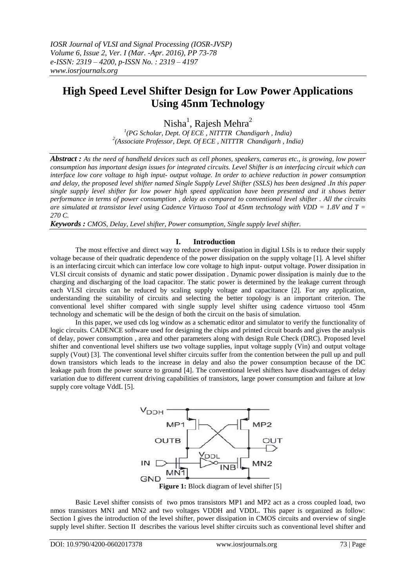# **High Speed Level Shifter Design for Low Power Applications Using 45nm Technology**

Nisha<sup>1</sup>, Rajesh Mehra<sup>2</sup>

*1 (PG Scholar, Dept. Of ECE , NITTTR Chandigarh , India) 2 (Associate Professor, Dept. Of ECE , NITTTR Chandigarh , India)*

*Abstract : As the need of handheld devices such as cell phones, speakers, cameras etc., is growing, low power consumption has important design issues for integrated circuits. Level Shifter is an interfacing circuit which can interface low core voltage to high input- output voltage. In order to achieve reduction in power consumption and delay, the proposed level shifter named Single Supply Level Shifter (SSLS) has been designed .In this paper single supply level shifter for low power high speed application have been presented and it shows better performance in terms of power consumption , delay as compared to conventional level shifter . All the circuits are simulated at transistor level using Cadence Virtuoso Tool at 45nm technology with VDD = 1.8V and T = 270 C.* 

*Keywords : CMOS, Delay, Level shifter, Power consumption, Single supply level shifter.* 

# **I. Introduction**

The most effective and direct way to reduce power dissipation in digital LSIs is to reduce their supply voltage because of their quadratic dependence of the power dissipation on the supply voltage [1]. A level shifter is an interfacing circuit which can interface low core voltage to high input- output voltage. Power dissipation in VLSI circuit consists of dynamic and static power dissipation . Dynamic power dissipation is mainly due to the charging and discharging of the load capacitor. The static power is determined by the leakage current through each VLSI circuits can be reduced by scaling supply voltage and capacitance [2]. For any application, understanding the suitability of circuits and selecting the better topology is an important criterion. The conventional level shifter compared with single supply level shifter using cadence virtuoso tool 45nm technology and schematic will be the design of both the circuit on the basis of simulation.

In this paper, we used cds log window as a schematic editor and simulator to verify the functionality of logic circuits. CADENCE software used for designing the chips and printed circuit boards and gives the analysis of delay, power consumption , area and other parameters along with design Rule Check (DRC). Proposed level shifter and conventional level shifters use two voltage supplies, input voltage supply (Vin) and output voltage supply (Vout) [3]. The conventional level shifter circuits suffer from the contention between the pull up and pull down transistors which leads to the increase in delay and also the power consumption because of the DC leakage path from the power source to ground [4]. The conventional level shifters have disadvantages of delay variation due to different current driving capabilities of transistors, large power consumption and failure at low supply core voltage VddL [5].



Basic Level shifter consists of two pmos transistors MP1 and MP2 act as a cross coupled load, two nmos transistors MN1 and MN2 and two voltages VDDH and VDDL. This paper is organized as follow: Section I gives the introduction of the level shifter, power dissipation in CMOS circuits and overview of single supply level shifter. Section II describes the various level shifter circuits such as conventional level shifter and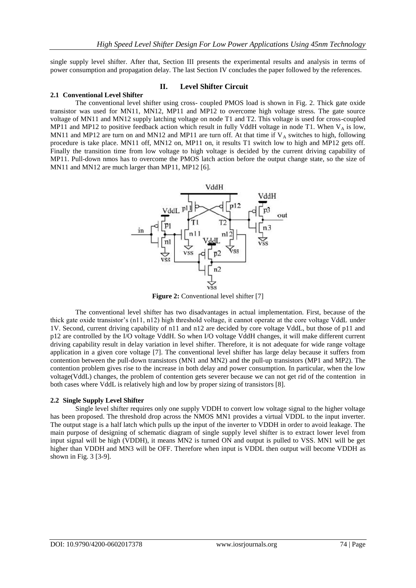single supply level shifter. After that, Section III presents the experimental results and analysis in terms of power consumption and propagation delay. The last Section IV concludes the paper followed by the references.

### **II. Level Shifter Circuit**

#### **2.1 Conventional Level Shifter**

The conventional level shifter using cross- coupled PMOS load is shown in Fig. 2. Thick gate oxide transistor was used for MN11, MN12, MP11 and MP12 to overcome high voltage stress. The gate source voltage of MN11 and MN12 supply latching voltage on node T1 and T2. This voltage is used for cross-coupled MP11 and MP12 to positive feedback action which result in fully VddH voltage in node T1. When  $V_A$  is low, MN11 and MP12 are turn on and MN12 and MP11 are turn off. At that time if  $V_A$  switches to high, following procedure is take place. MN11 off, MN12 on, MP11 on, it results T1 switch low to high and MP12 gets off. Finally the transition time from low voltage to high voltage is decided by the current driving capability of MP11. Pull-down nmos has to overcome the PMOS latch action before the output change state, so the size of MN11 and MN12 are much larger than MP11, MP12 [6].



**Figure 2:** Conventional level shifter [7]

The conventional level shifter has two disadvantages in actual implementation. First, because of the thick gate oxide transistor's (n11, n12) high threshold voltage, it cannot operate at the core voltage VddL under 1V. Second, current driving capability of n11 and n12 are decided by core voltage VddL, but those of p11 and p12 are controlled by the I/O voltage VddH. So when I/O voltage VddH changes, it will make different current driving capability result in delay variation in level shifter. Therefore, it is not adequate for wide range voltage application in a given core voltage [7]. The conventional level shifter has large delay because it suffers from contention between the pull-down transistors (MN1 and MN2) and the pull-up transistors (MP1 and MP2). The contention problem gives rise to the increase in both delay and power consumption. In particular, when the low voltage(VddL) changes, the problem of contention gets severer because we can not get rid of the contention in both cases where VddL is relatively high and low by proper sizing of transistors [8].

#### **2.2 Single Supply Level Shifter**

Single level shifter requires only one supply VDDH to convert low voltage signal to the higher voltage has been proposed. The threshold drop across the NMOS MN1 provides a virtual VDDL to the input inverter. The output stage is a half latch which pulls up the input of the inverter to VDDH in order to avoid leakage. The main purpose of designing of schematic diagram of single supply level shifter is to extract lower level from input signal will be high (VDDH), it means MN2 is turned ON and output is pulled to VSS. MN1 will be get higher than VDDH and MN3 will be OFF. Therefore when input is VDDL then output will become VDDH as shown in Fig. 3 [3-9].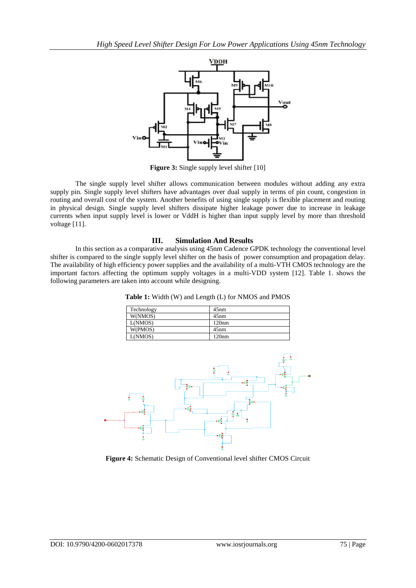

**Figure 3:** Single supply level shifter [10]

The single supply level shifter allows communication between modules without adding any extra supply pin. Single supply level shifters have advantages over dual supply in terms of pin count, congestion in routing and overall cost of the system. Another benefits of using single supply is flexible placement and routing in physical design. Single supply level shifters dissipate higher leakage power due to increase in leakage currents when input supply level is lower or VddH is higher than input supply level by more than threshold voltage [11].

# **III. Simulation And Results**

In this section as a comparative analysis using 45nm Cadence GPDK technology the conventional level shifter is compared to the single supply level shifter on the basis of power consumption and propagation delay. The availability of high efficiency power supplies and the availability of a multi-VTH CMOS technology are the important factors affecting the optimum supply voltages in a multi-VDD system [12]. Table 1. shows the following parameters are taken into account while designing.

**Table 1:** Width (W) and Length (L) for NMOS and PMOS

| Technology | 45nm  |
|------------|-------|
| W(NMOS)    | 45nm  |
| L(NMOS)    | 120nm |
| W(PMOS)    | 45nm  |
| L(NMOS)    | 120nm |



**Figure 4:** Schematic Design of Conventional level shifter CMOS Circuit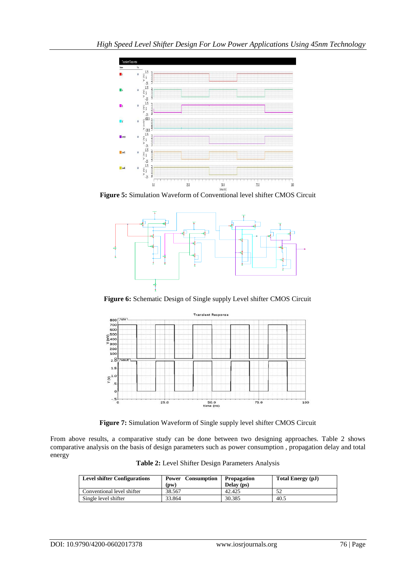

**Figure 5:** Simulation Waveform of Conventional level shifter CMOS Circuit



**Figure 6:** Schematic Design of Single supply Level shifter CMOS Circuit



**Figure 7:** Simulation Waveform of Single supply level shifter CMOS Circuit

From above results, a comparative study can be done between two designing approaches. Table 2 shows comparative analysis on the basis of design parameters such as power consumption , propagation delay and total energy

**Table 2:** Level Shifter Design Parameters Analysis

| <b>Level shifter Configurations</b> | Consumption<br>Power<br>(DW) | <b>Propagation</b><br>Delay (ps) | Total Energy (pJ) |
|-------------------------------------|------------------------------|----------------------------------|-------------------|
| Conventional level shifter          | 38.567                       | 42.425                           |                   |
| Single level shifter                | 33.864                       | 30.385                           | 40.5              |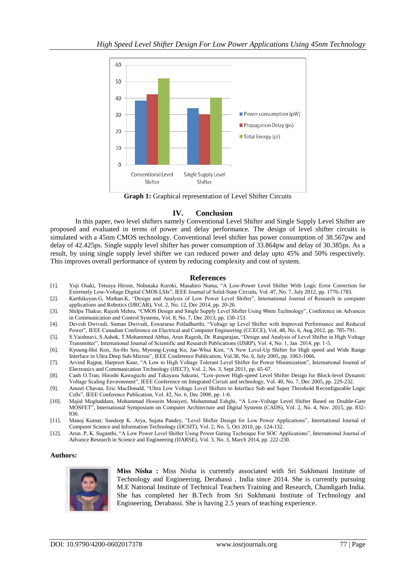

**Graph 1:** Graphical representation of Level Shifter Circuits

# **IV. Conclusion**

In this paper, two level shifters namely Conventional Level Shifter and Single Supply Level Shifter are proposed and evaluated in terms of power and delay performance. The design of level shifter circuits is simulated with a 45nm CMOS technology. Conventional level shifter has power consumption of 38.567pw and delay of 42.425ps. Single supply level shifter has power consumption of 33.864pw and delay of 30.385ps. As a result, by using single supply level shifter we can reduced power and delay upto 45% and 50% respectively. This improves overall performance of system by reducing complexity and cost of system.

# **References**

- [1]. Yuji Osaki, Tetsuya Hirose, Nobutaka Kuroki, Masahiro Numa, "A Low-Power Level Shifter With Logic Error Correction for Extremely Low-Voltage Digital CMOS LSIs", IEEE Journal of Solid-State Circuits, Vol. 47, No. 7, July 2012, pp. 1776-1783.
- [2]. Karthikeyan.G, Mathan.K, "Design and Analysis of Low Power Level Shifter", International Journal of Research in computer applications and Robotics (IJRCAR), Vol. 2, No. 12, Dec 2014, pp. 20-26.
- [3]. Shilpa Thakur, Rajesh Mehra, "CMOS Design and Single Supply Level Shifter Using 90nm Technology", Conference on Advances in Communication and Control Systems, Vol. 8, No. 7, Dec 2013, pp. 150-153.
- [4]. Devesh Dwivedi, Suman Dwivedi, Eswararao Potladhurthi, "Voltage up Level Shifter with Improved Performance and Reduced Power", IEEE Canadian Conference on Electrical and Computer Engineering (CCECE), Vol. 48, No. 6, Aug 2012, pp. 785-791.
- [5]. S.Vaishnavi, S.Ashok, T.Mohammed Abbas, Arun Ragesh, Dr. Rangarajan, "Design and Analysis of Level Shifter in High Voltage Transmitter", International Journal of Scientific and Research Publications (IJSRP), Vol. 4, No. 1, Jan 2014, pp. 1-5.
- [6]. Kyoung-Hoi Koo, Jin-Ho Seo, Myeong-Lyong Ko, Jae-Whui Kim, "A New Level-Up Shifter for High speed and Wide Range Interface in Ultra Deep Sub-Micron", IEEE Conference Publication, Vol.38, No. 6, July 2005, pp. 1063-1066.
- [7]. Arvind Rajput, Harpreet Kaur, "A Low to High Voltage Tolerant Level Shifter for Power Minimization", International Journal of Electronics and Communication Technology (IJECT), Vol. 2, No. 3, Sept 2011, pp. 65-67.
- [8]. Canh O.Tran, Hiroshi Kawaguchi and Takayasu Sakurai, "Low-power High-speed Level Shifter Design for Block-level Dynamic Voltage Scaling Environment", IEEE Conference on Integrated Circuit and technology, Vol. 40, No. 7, Dec 2005, pp. 229-232.
- [9]. Ameet Chavan, Eric MacDonald, "Ultra Low Voltage Level Shifters to Interface Sub and Super Threshold Reconfigurable Logic Cells", IEEE Conference Publication, Vol. 42, No. 6, Dec 2008, pp. 1-6.
- [10]. Majid Moghaddam, Mohammad Hossein Moaiyeri, Mohammad Eshghi, "A Low-Voltage Level Shifter Based on Double-Gate MOSFET", International Symposium on Computer Architecture and Digital Systems (CADS), Vol. 2, No. 4, Nov. 2015, pp. 832- 836.
- [11]. Manoj Kumar, Sandeep K. Arya, Sujata Pandey, "Level Shifter Design for Low Power Applications", International Journal of Computer Science and Information Technology (IJCSIT), Vol. 2, No. 5, Oct 2010, pp. 124-132.
- [12]. Arun. P, K. Suganthi, "A Low Power Level Shifter Using Power Gating Technique For SOC Applications", International Journal of Advance Research in Science and Engineering (IJARSE), Vol. 3, No. 3, March 2014, pp. 222-230.

# **Authors:**



**Miss Nisha :** Miss Nisha is currently associated with Sri Sukhmani Institute of Technology and Engineering, Derabassi , India since 2014. She is currently pursuing M.E National Institute of Technical Teachers Training and Research, Chandigarh India. She has completed her B.Tech from Sri Sukhmani Institute of Technology and Engineering, Derabassi. She is having 2.5 years of teaching experience.